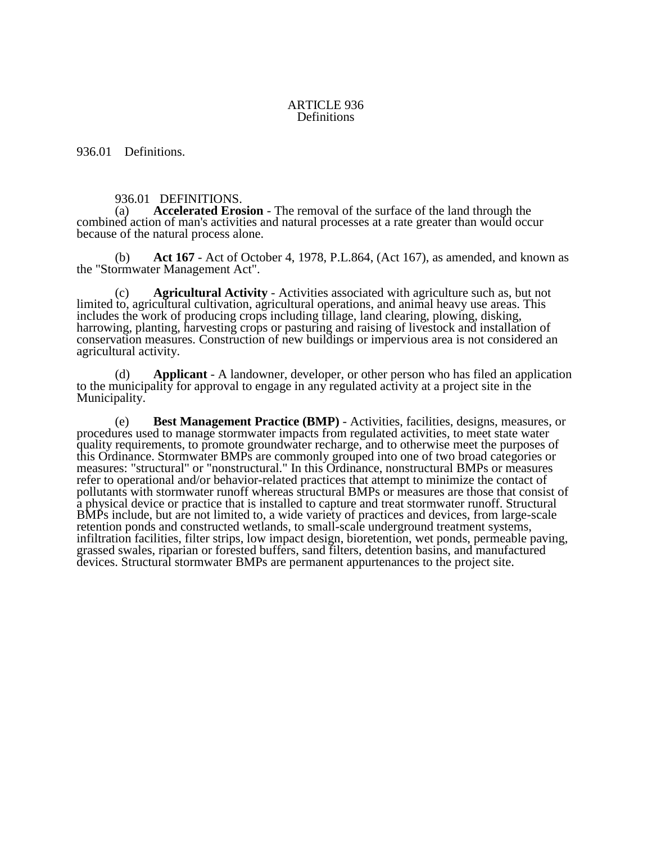## ARTICLE 936 Definitions

936.01 Definitions.

## 936.01 DEFINITIONS.

(a) **Accelerated Erosion** - The removal of the surface of the land through the combined action of man's activities and natural processes at a rate greater than would occur because of the natural process alone.

(b) **Act 167** - Act of October 4, 1978, P.L.864, (Act 167), as amended, and known as the "Stormwater Management Act".

(c) **Agricultural Activity** - Activities associated with agriculture such as, but not limited to, agricultural cultivation, agricultural operations, and animal heavy use areas. This includes the work of producing crops including tillage, land clearing, plowing, disking, harrowing, planting, harvesting crops or pasturing and raising of livestock and installation of conservation measures. Construction of new buildings or impervious area is not considered an agricultural activity.

(d) **Applicant** - A landowner, developer, or other person who has filed an application to the municipality for approval to engage in any regulated activity at a project site in the Municipality.

(e) **Best Management Practice (BMP)** - Activities, facilities, designs, measures, or procedures used to manage stormwater impacts from regulated activities, to meet state water quality requirements, to promote groundwater recharge, and to otherwise meet the purposes of this Ordinance. Stormwater BMPs are commonly grouped into one of two broad categories or measures: "structural" or "nonstructural." In this Ordinance, nonstructural BMPs or measures refer to operational and/or behavior-related practices that attempt to minimize the contact of pollutants with stormwater runoff whereas structural BMPs or measures are those that consist of a physical device or practice that is installed to capture and treat stormwater runoff. Structural BMPs include, but are not limited to, a wide variety of practices and devices, from large-scale retention ponds and constructed wetlands, to small-scale underground treatment systems, infiltration facilities, filter strips, low impact design, bioretention, wet ponds, permeable paving, grassed swales, riparian or forested buffers, sand filters, detention basins, and manufactured devices. Structural stormwater BMPs are permanent appurtenances to the project site.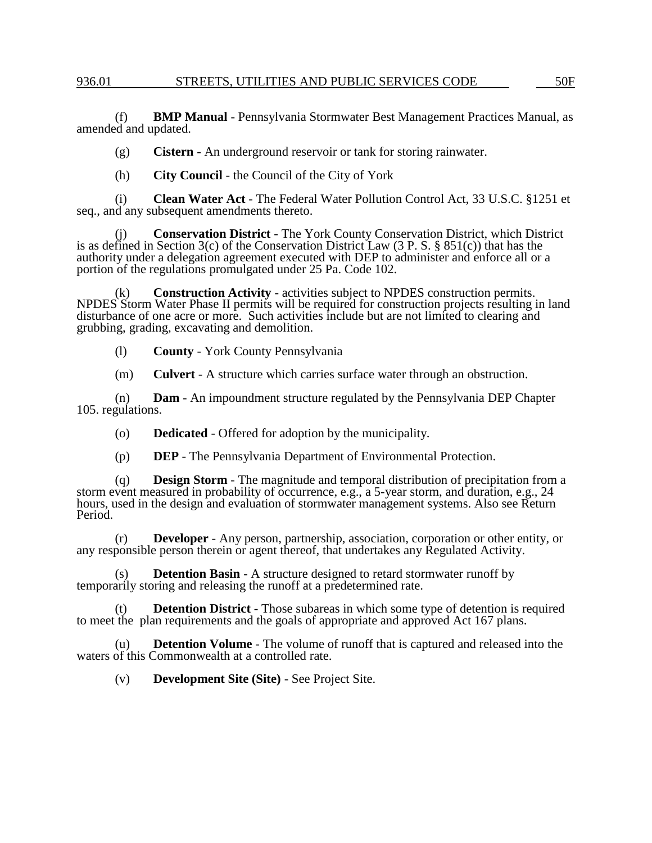(f) **BMP Manual** - Pennsylvania Stormwater Best Management Practices Manual, as amended and updated.

(g) **Cistern** - An underground reservoir or tank for storing rainwater.

(h) **City Council** - the Council of the City of York

(i) **Clean Water Act** - The Federal Water Pollution Control Act, 33 U.S.C. §1251 et seq., and any subsequent amendments thereto.

(j) **Conservation District** - The York County Conservation District, which District is as defined in Section 3(c) of the Conservation District Law (3 P. S. § 851(c)) that has the authority under a delegation agreement executed with DEP to administer and enforce all or a portion of the regulations promulgated under 25 Pa. Code 102.

(k) **Construction Activity** - activities subject to NPDES construction permits. NPDES Storm Water Phase II permits will be required for construction projects resulting in land disturbance of one acre or more. Such activities include but are not limited to clearing and grubbing, grading, excavating and demolition.

(l) **County** - York County Pennsylvania

(m) **Culvert** - A structure which carries surface water through an obstruction.

(n) **Dam** - An impoundment structure regulated by the Pennsylvania DEP Chapter 105. regulations.

(o) **Dedicated** - Offered for adoption by the municipality.

(p) **DEP** - The Pennsylvania Department of Environmental Protection.

(q) **Design Storm** - The magnitude and temporal distribution of precipitation from a storm event measured in probability of occurrence, e.g., a 5-year storm, and duration, e.g., 24 hours, used in the design and evaluation of stormwater management systems. Also see Return Period.

(r) **Developer** - Any person, partnership, association, corporation or other entity, or any responsible person therein or agent thereof, that undertakes any Regulated Activity.

(s) **Detention Basin** - A structure designed to retard stormwater runoff by temporarily storing and releasing the runoff at a predetermined rate.

(t) **Detention District** - Those subareas in which some type of detention is required to meet the plan requirements and the goals of appropriate and approved Act 167 plans.

(u) **Detention Volume** - The volume of runoff that is captured and released into the waters of this Commonwealth at a controlled rate.

(v) **Development Site (Site)** - See Project Site.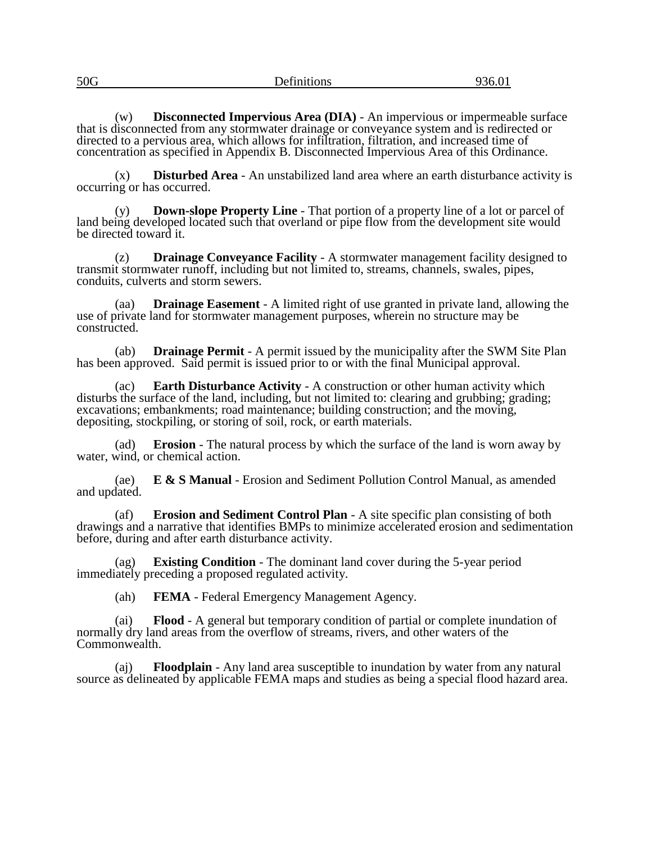| 50G | $\sim$<br>Definitions | $\Omega$ $\in \Omega$<br>נט.סכי |
|-----|-----------------------|---------------------------------|
|     |                       |                                 |

(w) **Disconnected Impervious Area (DIA)** - An impervious or impermeable surface that is disconnected from any stormwater drainage or conveyance system and is redirected or directed to a pervious area, which allows for infiltration, filtration, and increased time of concentration as specified in Appendix B. Disconnected Impervious Area of this Ordinance.

(x) **Disturbed Area** - An unstabilized land area where an earth disturbance activity is occurring or has occurred.

(y) **Down-slope Property Line** - That portion of a property line of a lot or parcel of land being developed located such that overland or pipe flow from the development site would be directed toward it.

(z) **Drainage Conveyance Facility** - A stormwater management facility designed to transmit stormwater runoff, including but not limited to, streams, channels, swales, pipes, conduits, culverts and storm sewers.

(aa) **Drainage Easement** - A limited right of use granted in private land, allowing the use of private land for stormwater management purposes, wherein no structure may be constructed.

(ab) **Drainage Permit** - A permit issued by the municipality after the SWM Site Plan has been approved. Said permit is issued prior to or with the final Municipal approval.

(ac) **Earth Disturbance Activity** - A construction or other human activity which disturbs the surface of the land, including, but not limited to: clearing and grubbing; grading; excavations; embankments; road maintenance; building construction; and the moving, depositing, stockpiling, or storing of soil, rock, or earth materials.

(ad) **Erosion** - The natural process by which the surface of the land is worn away by water, wind, or chemical action.

(ae) **E & S Manual** - Erosion and Sediment Pollution Control Manual, as amended and updated.

(af) **Erosion and Sediment Control Plan** - A site specific plan consisting of both drawings and a narrative that identifies BMPs to minimize accelerated erosion and sedimentation before, during and after earth disturbance activity.

(ag) **Existing Condition** - The dominant land cover during the 5-year period immediately preceding a proposed regulated activity.

(ah) **FEMA** - Federal Emergency Management Agency.

(ai) **Flood** - A general but temporary condition of partial or complete inundation of normally dry land areas from the overflow of streams, rivers, and other waters of the Commonwealth.

(aj) **Floodplain** - Any land area susceptible to inundation by water from any natural source as delineated by applicable FEMA maps and studies as being a special flood hazard area.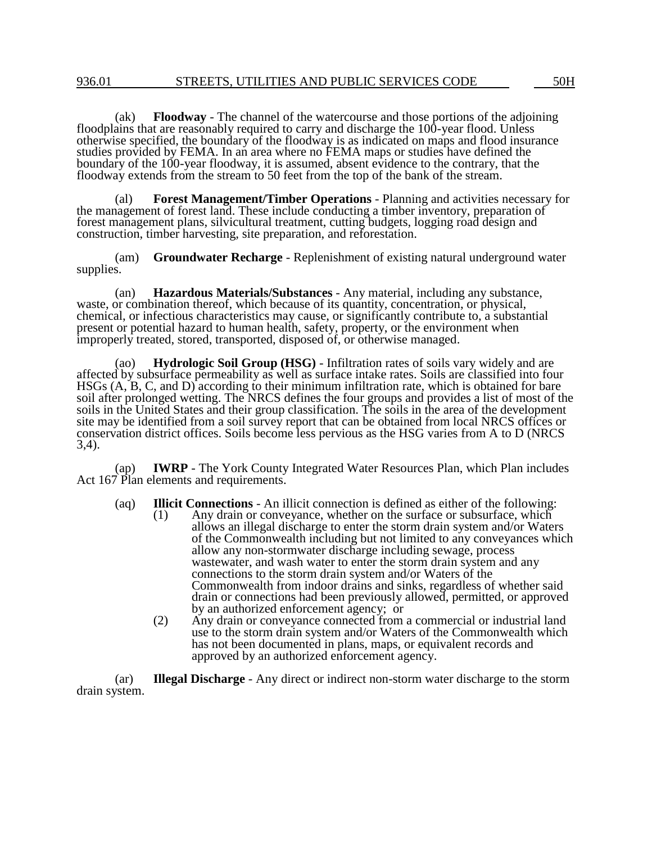(ak) **Floodway** - The channel of the watercourse and those portions of the adjoining floodplains that are reasonably required to carry and discharge the 100-year flood. Unless otherwise specified, the boundary of the floodway is as indicated on maps and flood insurance studies provided by FEMA. In an area where no FEMA maps or studies have defined the boundary of the 100-year floodway, it is assumed, absent evidence to the contrary, that the floodway extends from the stream to 50 feet from the top of the bank of the stream.

(al) **Forest Management/Timber Operations** - Planning and activities necessary for the management of forest land. These include conducting a timber inventory, preparation of forest management plans, silvicultural treatment, cutting budgets, logging road design and construction, timber harvesting, site preparation, and reforestation.

(am) **Groundwater Recharge** - Replenishment of existing natural underground water supplies.

(an) **Hazardous Materials/Substances** - Any material, including any substance, waste, or combination thereof, which because of its quantity, concentration, or physical, chemical, or infectious characteristics may cause, or significantly contribute to, a substantial present or potential hazard to human health, safety, property, or the environment when improperly treated, stored, transported, disposed of, or otherwise managed.

(ao) **Hydrologic Soil Group (HSG)** - Infiltration rates of soils vary widely and are affected by subsurface permeability as well as surface intake rates. Soils are classified into four HSGs (A, B, C, and D) according to their minimum infiltration rate, which is obtained for bare soil after prolonged wetting. The NRCS defines the four groups and provides a list of most of the soils in the United States and their group classification. The soils in the area of the development site may be identified from a soil survey report that can be obtained from local NRCS offices or conservation district offices. Soils become less pervious as the HSG varies from A to D (NRCS 3,4).

(ap) **IWRP** - The York County Integrated Water Resources Plan, which Plan includes Act 167 Plan elements and requirements.

(aq) **Illicit Connections** - An illicit connection is defined as either of the following:<br>(1) Any drain or conveyance, whether on the surface or subsurface, which

- Any drain or conveyance, whether on the surface or subsurface, which allows an illegal discharge to enter the storm drain system and/or Waters of the Commonwealth including but not limited to any conveyances which allow any non-stormwater discharge including sewage, process wastewater, and wash water to enter the storm drain system and any connections to the storm drain system and/or Waters of the Commonwealth from indoor drains and sinks, regardless of whether said drain or connections had been previously allowed, permitted, or approved by an authorized enforcement agency; or
	- (2) Any drain or conveyance connected from a commercial or industrial land use to the storm drain system and/or Waters of the Commonwealth which has not been documented in plans, maps, or equivalent records and approved by an authorized enforcement agency.

(ar) **Illegal Discharge** - Any direct or indirect non-storm water discharge to the storm drain system.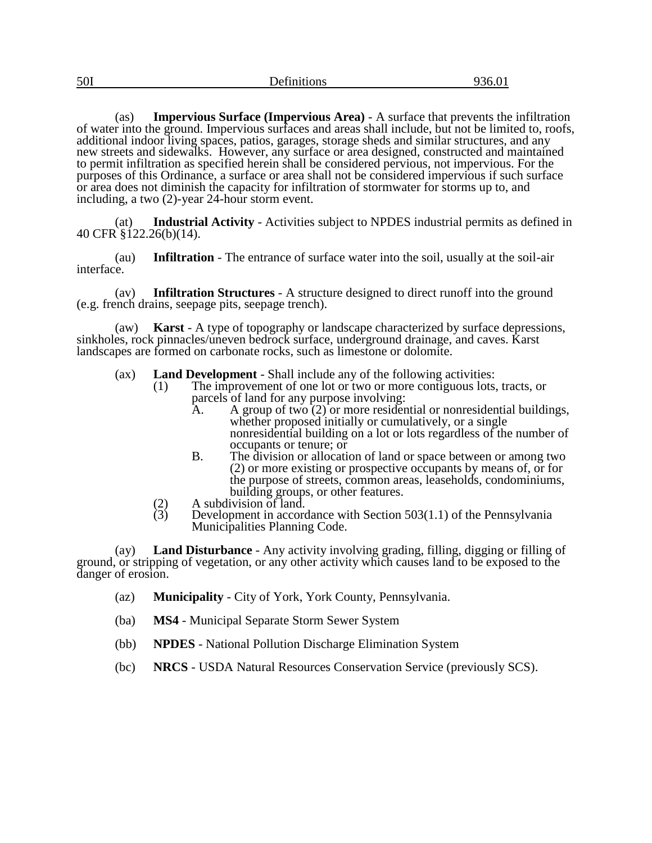(as) **Impervious Surface (Impervious Area)** - A surface that prevents the infiltration of water into the ground. Impervious surfaces and areas shall include, but not be limited to, roofs, additional indoor living spaces, patios, garages, storage sheds and similar structures, and any new streets and sidewalks. However, any surface or area designed, constructed and maintained to permit infiltration as specified herein shall be considered pervious, not impervious. For the purposes of this Ordinance, a surface or area shall not be considered impervious if such surface or area does not diminish the capacity for infiltration of stormwater for storms up to, and including, a two (2)-year 24-hour storm event.

(at) **Industrial Activity** - Activities subject to NPDES industrial permits as defined in 40 CFR §122.26(b)(14).

(au) **Infiltration** - The entrance of surface water into the soil, usually at the soil-air interface.

(av) **Infiltration Structures** - A structure designed to direct runoff into the ground (e.g. french drains, seepage pits, seepage trench).

(aw) **Karst** - A type of topography or landscape characterized by surface depressions, sinkholes, rock pinnacles/uneven bedrock surface, underground drainage, and caves. Karst landscapes are formed on carbonate rocks, such as limestone or dolomite.

- (ax) **Land Development** Shall include any of the following activities:<br>(1) The improvement of one lot or two or more contiguous lots.
	- The improvement of one lot or two or more contiguous lots, tracts, or parcels of land for any purpose involving:<br>A. A group of two (2) or more resider
		- A. A group of two  $(2)$  or more residential or nonresidential buildings, whether proposed initially or cumulatively, or a single nonresidential building on a lot or lots regardless of the number of occupants or tenure; or
		- B. The division or allocation of land or space between or among two (2) or more existing or prospective occupants by means of, or for the purpose of streets, common areas, leaseholds, condominiums, building groups, or other features.
	- (2) A subdivision of land.<br>(3) Development in accord
	- Development in accordance with Section  $503(1.1)$  of the Pennsylvania Municipalities Planning Code.

(ay) **Land Disturbance** - Any activity involving grading, filling, digging or filling of ground, or stripping of vegetation, or any other activity which causes land to be exposed to the danger of erosion.

- (az) **Municipality**  City of York, York County, Pennsylvania.
- (ba) **MS4**  Municipal Separate Storm Sewer System
- (bb) **NPDES**  National Pollution Discharge Elimination System
- (bc) **NRCS**  USDA Natural Resources Conservation Service (previously SCS).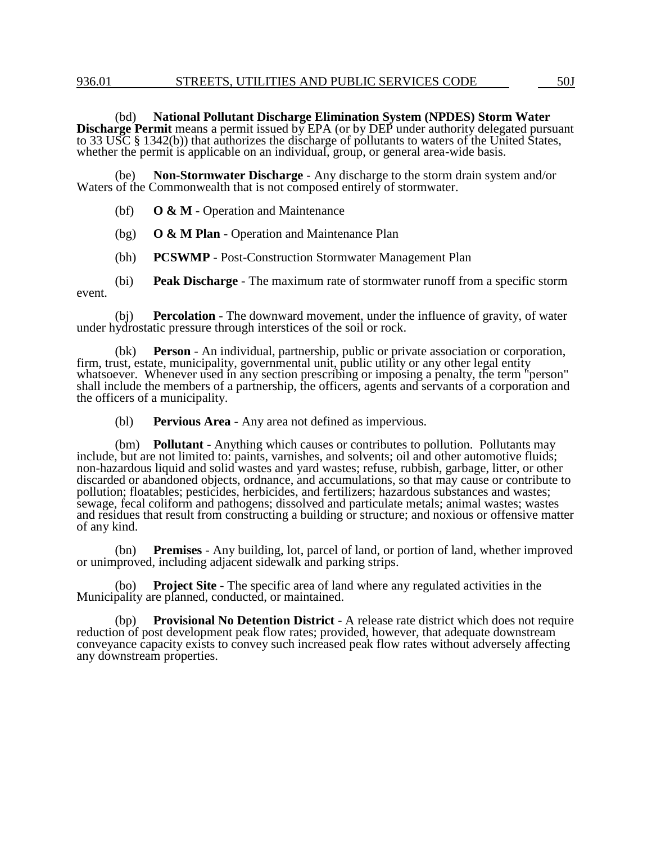## 936.01 STREETS, UTILITIES AND PUBLIC SERVICES CODE 50J

(bd) **National Pollutant Discharge Elimination System (NPDES) Storm Water Discharge Permit** means a permit issued by EPA (or by DEP under authority delegated pursuant to 33 USC § 1342(b)) that authorizes the discharge of pollutants to waters of the United States, whether the permit is applicable on an individual, group, or general area-wide basis.

(be) **Non-Stormwater Discharge** - Any discharge to the storm drain system and/or Waters of the Commonwealth that is not composed entirely of stormwater.

- (bf) **O & M**  Operation and Maintenance
- (bg) **O & M Plan**  Operation and Maintenance Plan
- (bh) **PCSWMP** Post-Construction Stormwater Management Plan
- (bi) **Peak Discharge** The maximum rate of stormwater runoff from a specific storm event.

(bj) **Percolation** - The downward movement, under the influence of gravity, of water under hydrostatic pressure through interstices of the soil or rock.

(bk) **Person** - An individual, partnership, public or private association or corporation, firm, trust, estate, municipality, governmental unit, public utility or any other legal entity whatsoever. Whenever used in any section prescribing or imposing a penalty, the term "person" shall include the members of a partnership, the officers, agents and servants of a corporation and the officers of a municipality.

(bl) **Pervious Area** - Any area not defined as impervious.

(bm) **Pollutant** - Anything which causes or contributes to pollution. Pollutants may include, but are not limited to: paints, varnishes, and solvents; oil and other automotive fluids; non-hazardous liquid and solid wastes and yard wastes; refuse, rubbish, garbage, litter, or other discarded or abandoned objects, ordnance, and accumulations, so that may cause or contribute to pollution; floatables; pesticides, herbicides, and fertilizers; hazardous substances and wastes; sewage, fecal coliform and pathogens; dissolved and particulate metals; animal wastes; wastes and residues that result from constructing a building or structure; and noxious or offensive matter of any kind.

(bn) **Premises** - Any building, lot, parcel of land, or portion of land, whether improved or unimproved, including adjacent sidewalk and parking strips.

(bo) **Project Site** - The specific area of land where any regulated activities in the Municipality are planned, conducted, or maintained.

(bp) **Provisional No Detention District** - A release rate district which does not require reduction of post development peak flow rates; provided, however, that adequate downstream conveyance capacity exists to convey such increased peak flow rates without adversely affecting any downstream properties.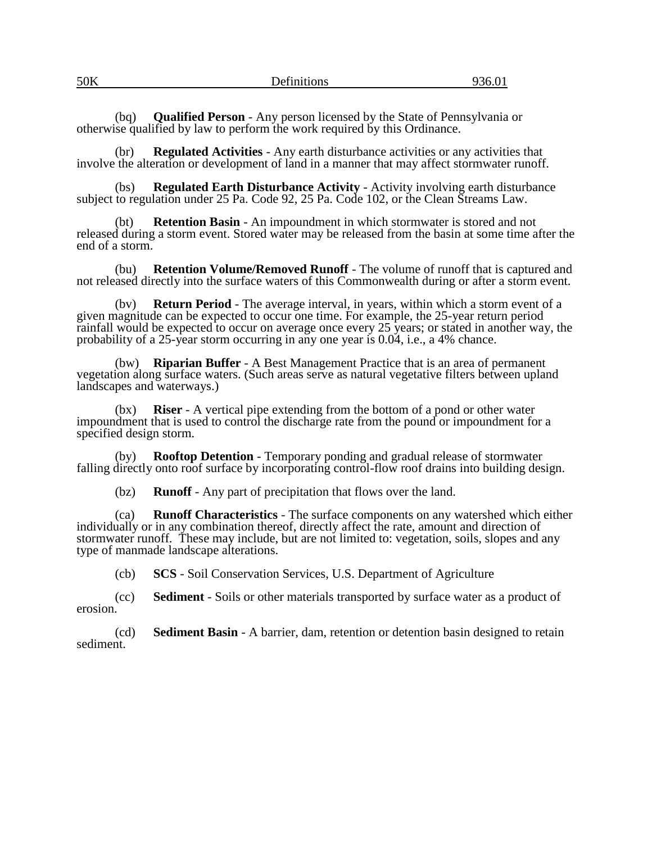| 50K | $\mathbf{r}$<br>Definitions | $\Omega$<br>750.UT |
|-----|-----------------------------|--------------------|
|     |                             |                    |

(bq) **Qualified Person** - Any person licensed by the State of Pennsylvania or otherwise qualified by law to perform the work required by this Ordinance.

(br) **Regulated Activities** - Any earth disturbance activities or any activities that involve the alteration or development of land in a manner that may affect stormwater runoff.

(bs) **Regulated Earth Disturbance Activity** - Activity involving earth disturbance subject to regulation under 25 Pa. Code 92, 25 Pa. Code 102, or the Clean Streams Law.

(bt) **Retention Basin** - An impoundment in which stormwater is stored and not released during a storm event. Stored water may be released from the basin at some time after the end of a storm.

(bu) **Retention Volume/Removed Runoff** - The volume of runoff that is captured and not released directly into the surface waters of this Commonwealth during or after a storm event.

(bv) **Return Period** - The average interval, in years, within which a storm event of a given magnitude can be expected to occur one time. For example, the 25-year return period rainfall would be expected to occur on average once every 25 years; or stated in another way, the probability of a 25-year storm occurring in any one year is 0.04, i.e., a 4% chance.

(bw) **Riparian Buffer** - A Best Management Practice that is an area of permanent vegetation along surface waters. (Such areas serve as natural vegetative filters between upland landscapes and waterways.)

(bx) **Riser** - A vertical pipe extending from the bottom of a pond or other water impoundment that is used to control the discharge rate from the pound or impoundment for a specified design storm.

(by) **Rooftop Detention** - Temporary ponding and gradual release of stormwater falling directly onto roof surface by incorporating control-flow roof drains into building design.

(bz) **Runoff** - Any part of precipitation that flows over the land.

(ca) **Runoff Characteristics** - The surface components on any watershed which either individually or in any combination thereof, directly affect the rate, amount and direction of stormwater runoff. These may include, but are not limited to: vegetation, soils, slopes and any type of manmade landscape alterations.

(cb) **SCS** - Soil Conservation Services, U.S. Department of Agriculture

(cc) **Sediment** - Soils or other materials transported by surface water as a product of erosion.

(cd) **Sediment Basin** - A barrier, dam, retention or detention basin designed to retain sediment.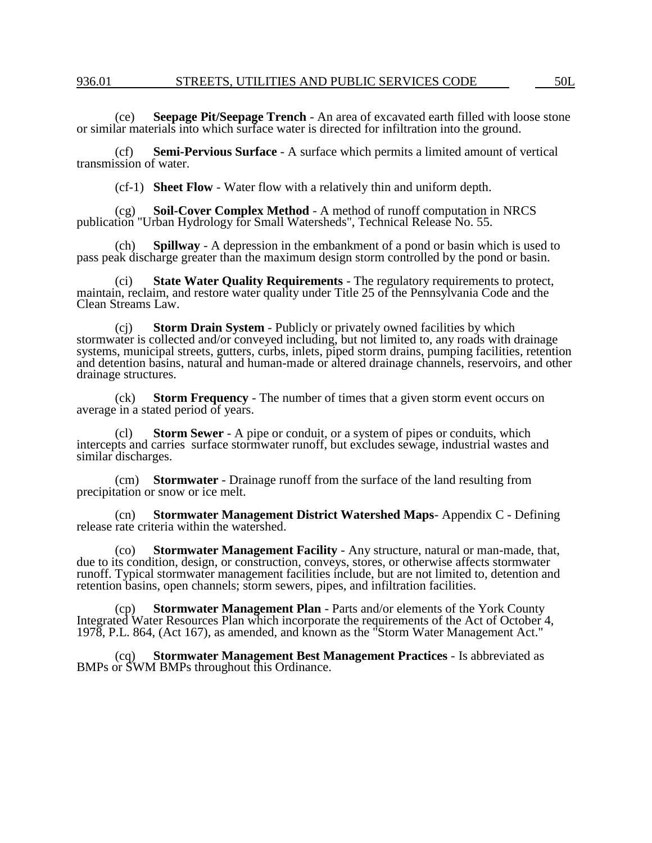(ce) **Seepage Pit/Seepage Trench** - An area of excavated earth filled with loose stone or similar materials into which surface water is directed for infiltration into the ground.

(cf) **Semi-Pervious Surface** - A surface which permits a limited amount of vertical transmission of water.

(cf-1) **Sheet Flow** - Water flow with a relatively thin and uniform depth.

(cg) **Soil-Cover Complex Method** - A method of runoff computation in NRCS publication "Urban Hydrology for Small Watersheds", Technical Release No. 55.

(ch) **Spillway** - A depression in the embankment of a pond or basin which is used to pass peak discharge greater than the maximum design storm controlled by the pond or basin.

(ci) **State Water Quality Requirements** - The regulatory requirements to protect, maintain, reclaim, and restore water quality under Title 25 of the Pennsylvania Code and the Clean Streams Law.

(cj) **Storm Drain System** - Publicly or privately owned facilities by which stormwater is collected and/or conveyed including, but not limited to, any roads with drainage systems, municipal streets, gutters, curbs, inlets, piped storm drains, pumping facilities, retention and detention basins, natural and human-made or altered drainage channels, reservoirs, and other drainage structures.

(ck) **Storm Frequency** - The number of times that a given storm event occurs on average in a stated period of years.

(cl) **Storm Sewer** - A pipe or conduit, or a system of pipes or conduits, which intercepts and carries surface stormwater runoff, but excludes sewage, industrial wastes and similar discharges.

(cm) **Stormwater** - Drainage runoff from the surface of the land resulting from precipitation or snow or ice melt.

(cn) **Stormwater Management District Watershed Maps**- Appendix C - Defining release rate criteria within the watershed.

(co) **Stormwater Management Facility** - Any structure, natural or man-made, that, due to its condition, design, or construction, conveys, stores, or otherwise affects stormwater runoff. Typical stormwater management facilities include, but are not limited to, detention and retention basins, open channels; storm sewers, pipes, and infiltration facilities.

(cp) **Stormwater Management Plan** - Parts and/or elements of the York County Integrated Water Resources Plan which incorporate the requirements of the Act of October 4, 1978, P.L. 864, (Act 167), as amended, and known as the "Storm Water Management Act."

(cq) **Stormwater Management Best Management Practices** - Is abbreviated as BMPs or SWM BMPs throughout this Ordinance.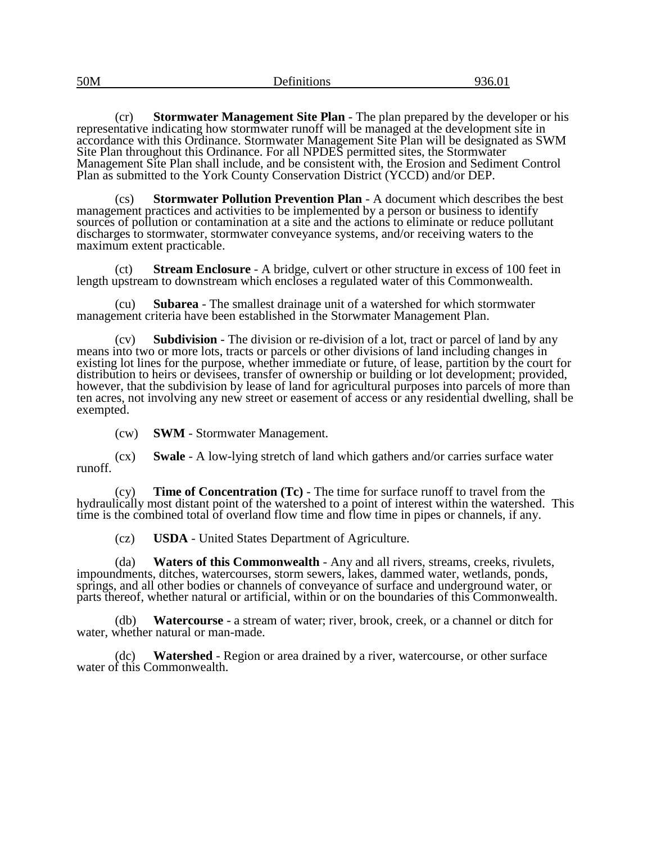| 50M | $\sim$<br>Definitions | 936.01 |
|-----|-----------------------|--------|
|     |                       |        |

(cr) **Stormwater Management Site Plan** - The plan prepared by the developer or his representative indicating how stormwater runoff will be managed at the development site in accordance with this Ordinance. Stormwater Management Site Plan will be designated as SWM Site Plan throughout this Ordinance. For all NPDES permitted sites, the Stormwater Management Site Plan shall include, and be consistent with, the Erosion and Sediment Control Plan as submitted to the York County Conservation District (YCCD) and/or DEP.

**Stormwater Pollution Prevention Plan - A document which describes the best** management practices and activities to be implemented by a person or business to identify sources of pollution or contamination at a site and the actions to eliminate or reduce pollutant discharges to stormwater, stormwater conveyance systems, and/or receiving waters to the maximum extent practicable.

(ct) **Stream Enclosure** - A bridge, culvert or other structure in excess of 100 feet in length upstream to downstream which encloses a regulated water of this Commonwealth.

(cu) **Subarea** - The smallest drainage unit of a watershed for which stormwater management criteria have been established in the Storwmater Management Plan.

(cv) **Subdivision** - The division or re-division of a lot, tract or parcel of land by any means into two or more lots, tracts or parcels or other divisions of land including changes in existing lot lines for the purpose, whether immediate or future, of lease, partition by the court for distribution to heirs or devisees, transfer of ownership or building or lot development; provided, however, that the subdivision by lease of land for agricultural purposes into parcels of more than ten acres, not involving any new street or easement of access or any residential dwelling, shall be exempted.

(cw) **SWM** - Stormwater Management.

(cx) **Swale** - A low-lying stretch of land which gathers and/or carries surface water runoff.

(cy) **Time of Concentration (Tc)** - The time for surface runoff to travel from the hydraulically most distant point of the watershed to a point of interest within the watershed. This time is the combined total of overland flow time and flow time in pipes or channels, if any.

(cz) **USDA** - United States Department of Agriculture.

(da) **Waters of this Commonwealth** - Any and all rivers, streams, creeks, rivulets, impoundments, ditches, watercourses, storm sewers, lakes, dammed water, wetlands, ponds, springs, and all other bodies or channels of conveyance of surface and underground water, or parts thereof, whether natural or artificial, within or on the boundaries of this Commonwealth.

(db) **Watercourse** - a stream of water; river, brook, creek, or a channel or ditch for water, whether natural or man-made.

(dc) **Watershed** - Region or area drained by a river, watercourse, or other surface water of this Commonwealth.